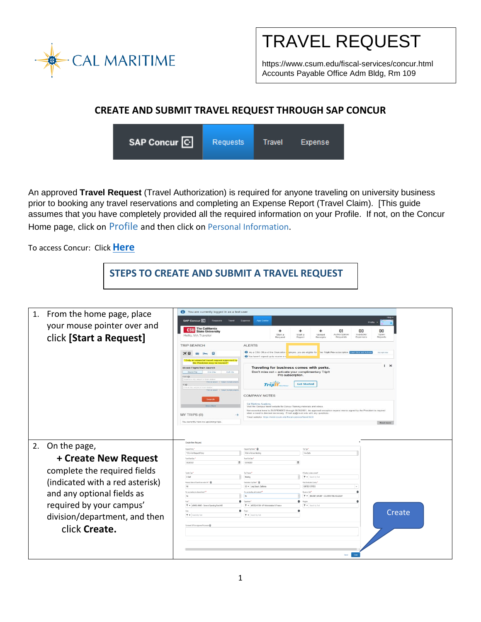

TRAVEL REQUEST

https://www.csum.edu/fiscal-services/concur.html Accounts Payable Office Adm Bldg, Rm 109

## **CREATE AND SUBMIT TRAVEL REQUEST THROUGH SAP CONCUR**

SAP Concur<sup>C</sup> **Requests** Travel Expense

An approved **Travel Request** (Travel Authorization) is required for anyone traveling on university business prior to booking any travel reservations and completing an Expense Report (Travel Claim). [This guide assumes that you have completely provided all the required information on your Profile. If not, on the Concur Home page, click on Profile and then click on Personal Information.

To access Concur: Click **[Here](https://ds.calstate.edu/?svc=concur&org=csum)**

**STEPS TO CREATE AND SUBMIT A TRAVEL REQUEST**

| 1. | From the home page, place<br>your mouse pointer over and<br>click [Start a Request] | You are currently logged in as a test user<br><b>SAP Concur C</b> Requests<br>Travel<br><b>CSU</b> The California<br>Hello, MA Traveler                                          | <b>App Center</b><br>Expense<br>$\div$<br>Start a<br>Request                                                                                                                                         | Profile<br>01<br>00<br>÷<br>÷<br>Start a<br>Available<br>Upload<br><b>Authorization</b><br>Report<br>Receipts<br>Requests<br>Expenses | 00<br>Open<br>Reports         |
|----|-------------------------------------------------------------------------------------|----------------------------------------------------------------------------------------------------------------------------------------------------------------------------------|------------------------------------------------------------------------------------------------------------------------------------------------------------------------------------------------------|---------------------------------------------------------------------------------------------------------------------------------------|-------------------------------|
|    |                                                                                     | <b>TRIP SEARCH</b><br>XQ<br>an essential travel request approved by<br>the President may be booked**<br>Mixed Flight/Train Search                                                | ALFRTS<br>You haven't signed up to receive e-re<br>Traveling for business comes with perks.                                                                                                          | As a CSU Office of the Chancellor (ployee, you are eligible for Tripit Pro subscription. Learn tions                                  | Not right now<br>$\mathbf{X}$ |
|    |                                                                                     | Round Trip<br>Dee Way<br>Multi City<br>From @<br>First an airport 1 Galact multiple airp<br>To 69<br>Arrival city, almost or main also<br>Pind an amont : I Balant multiple when | Don't miss out - activate your complimentary TripIt<br>Pro subscription.<br><b>Tripit</b>                                                                                                            | <b>Get Started</b>                                                                                                                    |                               |
|    |                                                                                     | Search<br>MY TRIPS (0)                                                                                                                                                           | <b>COMPANY NOTES</b><br>Cal Maritime Anademy<br>Visit the Campus travel website for Concur Training materials and videos<br>when a travel is deemed necessary. Email ap@csum.edu with any questions. | Non-essential travel is SUSPENDED through 05/30/2021. An approved exception request memo signed by the President is required          |                               |
|    |                                                                                     | You currently have no upcoming trips.                                                                                                                                            | Travel website: https://www.csum.edu/fiscal-services/travel.ht                                                                                                                                       |                                                                                                                                       | Read more                     |
| 2. | On the page,                                                                        | Create New Request                                                                                                                                                               |                                                                                                                                                                                                      |                                                                                                                                       |                               |
|    |                                                                                     | Danual Driver <sup>4</sup><br>*CSU-Test Request Policy                                                                                                                           | <b>Demand Tim Home * 60</b><br>FOA In-Person Meeting                                                                                                                                                 | Trip Type *<br>1-In-State                                                                                                             |                               |
|    | + Create New Request                                                                | Travel@ad Date                                                                                                                                                                   | Travel End Oats<br>圓                                                                                                                                                                                 |                                                                                                                                       |                               |
|    |                                                                                     | 03/28/2021<br>E                                                                                                                                                                  | 03/30/2021                                                                                                                                                                                           |                                                                                                                                       |                               |
|    | complete the required fields                                                        | Travaler Type <sup>*</sup>                                                                                                                                                       | Teo Parassa <sup>1</sup>                                                                                                                                                                             | FFscaly, is days cown!                                                                                                                |                               |
|    |                                                                                     | $2-Saf$<br>Personal Dates of Travel-Ensere enter NA * @                                                                                                                          | Meeting<br>Destination City/State * @                                                                                                                                                                | T v Search by Tex<br>Fieal Destination Country                                                                                        |                               |
|    | (indicated with a red asterisk)                                                     | NA                                                                                                                                                                               | US v Long Beach, California                                                                                                                                                                          | UNTED STATES<br>l v                                                                                                                   |                               |
|    | and any optional fields as                                                          | Are usu transfirigits a based state?                                                                                                                                             | Are you traveling with students?                                                                                                                                                                     | <b>Business Unit *</b>                                                                                                                |                               |
|    |                                                                                     | No.<br>Fond <sup>1</sup>                                                                                                                                                         | No<br>Ospatnus*<br>$\theta$                                                                                                                                                                          | T . IMCNPI MACIIP - CSU MARTINE ACADEMY                                                                                               |                               |
|    | required by your campus'                                                            | T = (48485) 48485 - General Operating Fund:495                                                                                                                                   | $T$ $\star$ (41500)-41500 - VP Administration & Finance                                                                                                                                              | Rogan<br>T . Search by Text                                                                                                           |                               |
|    |                                                                                     |                                                                                                                                                                                  | $\theta$                                                                                                                                                                                             |                                                                                                                                       | Create                        |
|    | division/department, and then                                                       | ▼ ▼ Search by Text                                                                                                                                                               | $\mathbf{T}$ $\bullet$ Search by Text                                                                                                                                                                |                                                                                                                                       |                               |
|    | click Create.                                                                       | Comments To From Approves Processors @                                                                                                                                           |                                                                                                                                                                                                      |                                                                                                                                       |                               |
|    |                                                                                     |                                                                                                                                                                                  |                                                                                                                                                                                                      |                                                                                                                                       |                               |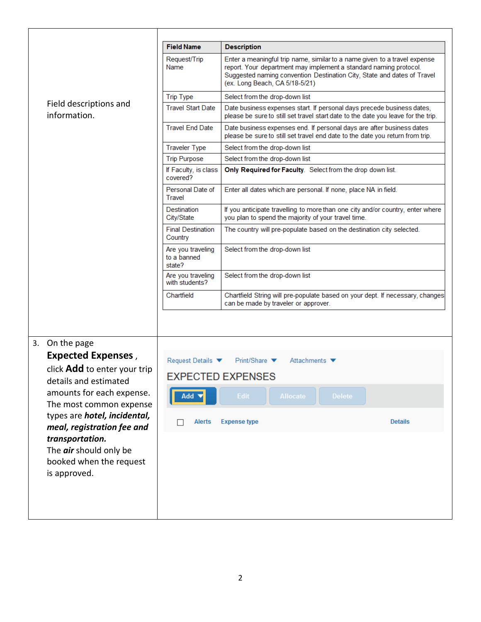|                |                                                                                      | <b>Field Name</b>                          | <b>Description</b>                                                                                                                                                                                                                                          |  |  |
|----------------|--------------------------------------------------------------------------------------|--------------------------------------------|-------------------------------------------------------------------------------------------------------------------------------------------------------------------------------------------------------------------------------------------------------------|--|--|
|                |                                                                                      | Request/Trip<br>Name                       | Enter a meaningful trip name, similar to a name given to a travel expense<br>report. Your department may implement a standard naming protocol.<br>Suggested naming convention Destination City, State and dates of Travel<br>(ex. Long Beach, CA 5/18-5/21) |  |  |
|                | Field descriptions and<br>information.                                               | <b>Trip Type</b>                           | Select from the drop-down list                                                                                                                                                                                                                              |  |  |
|                |                                                                                      | <b>Travel Start Date</b>                   | Date business expenses start. If personal days precede business dates,<br>please be sure to still set travel start date to the date you leave for the trip.                                                                                                 |  |  |
|                |                                                                                      | <b>Travel End Date</b>                     | Date business expenses end. If personal days are after business dates<br>please be sure to still set travel end date to the date you return from trip.                                                                                                      |  |  |
|                |                                                                                      | <b>Traveler Type</b>                       | Select from the drop-down list                                                                                                                                                                                                                              |  |  |
|                |                                                                                      | <b>Trip Purpose</b>                        | Select from the drop-down list                                                                                                                                                                                                                              |  |  |
|                |                                                                                      | If Faculty, is class<br>covered?           | Only Required for Faculty. Select from the drop down list.                                                                                                                                                                                                  |  |  |
|                |                                                                                      | Personal Date of<br><b>Travel</b>          | Enter all dates which are personal. If none, place NA in field.                                                                                                                                                                                             |  |  |
|                |                                                                                      | Destination<br>City/State                  | If you anticipate travelling to more than one city and/or country, enter where<br>you plan to spend the majority of your travel time.                                                                                                                       |  |  |
|                |                                                                                      | <b>Final Destination</b><br>Country        | The country will pre-populate based on the destination city selected.                                                                                                                                                                                       |  |  |
|                |                                                                                      | Are you traveling<br>to a banned<br>state? | Select from the drop-down list                                                                                                                                                                                                                              |  |  |
| 3. On the page |                                                                                      | Are you traveling<br>with students?        | Select from the drop-down list                                                                                                                                                                                                                              |  |  |
|                |                                                                                      | Chartfield                                 | Chartfield String will pre-populate based on your dept. If necessary, changes<br>can be made by traveler or approver.                                                                                                                                       |  |  |
|                |                                                                                      |                                            |                                                                                                                                                                                                                                                             |  |  |
|                | <b>Expected Expenses,</b>                                                            |                                            |                                                                                                                                                                                                                                                             |  |  |
|                | click Add to enter your trip                                                         | Request Details ▼                          | Print/Share $\blacktriangledown$<br>Attachments $\blacktriangledown$                                                                                                                                                                                        |  |  |
|                | details and estimated                                                                |                                            | <b>EXPECTED EXPENSES</b>                                                                                                                                                                                                                                    |  |  |
|                | amounts for each expense.<br>The most common expense                                 | Add                                        | Edit<br><b>Allocate</b><br><b>Delete</b>                                                                                                                                                                                                                    |  |  |
|                | types are hotel, incidental,<br>meal, registration fee and                           | Alerts                                     | <b>Details</b><br><b>Expense type</b>                                                                                                                                                                                                                       |  |  |
|                | transportation.<br>The air should only be<br>booked when the request<br>is approved. |                                            |                                                                                                                                                                                                                                                             |  |  |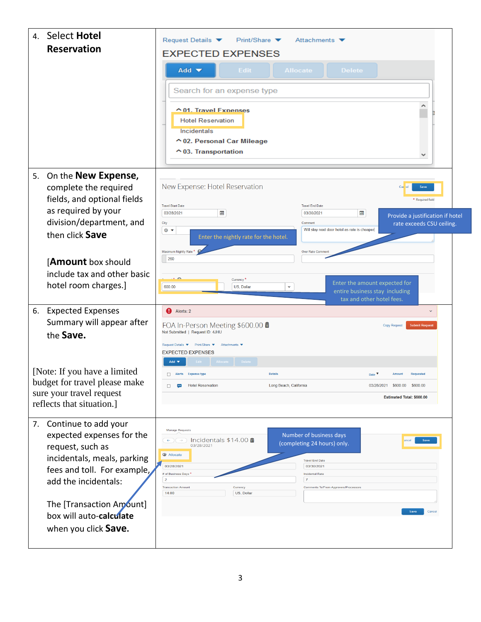| <b>Select Hotel</b><br>$\overline{4}$ .                                                                                                                                                                                                          | Request Details ▼<br>Print/Share $\blacktriangledown$<br>Attachments $\blacktriangledown$                                                                                                                                                                                                                                                                                                                                           |  |  |
|--------------------------------------------------------------------------------------------------------------------------------------------------------------------------------------------------------------------------------------------------|-------------------------------------------------------------------------------------------------------------------------------------------------------------------------------------------------------------------------------------------------------------------------------------------------------------------------------------------------------------------------------------------------------------------------------------|--|--|
| <b>Reservation</b>                                                                                                                                                                                                                               | <b>EXPECTED EXPENSES</b>                                                                                                                                                                                                                                                                                                                                                                                                            |  |  |
|                                                                                                                                                                                                                                                  | Add $\blacktriangledown$<br><b>Edit</b><br><b>Allocate</b><br><b>Delete</b><br>Search for an expense type                                                                                                                                                                                                                                                                                                                           |  |  |
|                                                                                                                                                                                                                                                  | △ 01. Travel Expenses<br><b>Hotel Reservation</b><br>Incidentals<br>↑02. Personal Car Mileage<br>$\sim$ 03. Transportation                                                                                                                                                                                                                                                                                                          |  |  |
| 5. On the <b>New Expense</b> ,<br>complete the required<br>fields, and optional fields<br>as required by your                                                                                                                                    | New Expense: Hotel Reservation<br><b>Save</b><br>* Required field<br><b>Travel Start Date</b><br><b>Travel End Date</b><br><b>IIII</b><br>囲<br>03/28/2021<br>03/30/2021<br>Provide a justification if hotel                                                                                                                                                                                                                         |  |  |
| division/department, and<br>then click Save                                                                                                                                                                                                      | City<br>Comment<br>rate exceeds CSU ceiling.<br>Will stay next door hotel as rate is cheaper<br>$\circ$ $\bullet$<br>Enter the nightly rate for the hotel.<br>Maximum Nightly Rate*<br>Over Rate Commer<br>260                                                                                                                                                                                                                      |  |  |
| [Amount box should<br>include tax and other basic<br>hotel room charges.]                                                                                                                                                                        | $\sim$<br>Currency <sup>*</sup><br>Enter the amount expected for<br>v.<br>600.00<br>US, Dollar<br>entire business stay including<br>tax and other hotel fees.                                                                                                                                                                                                                                                                       |  |  |
| 6. Expected Expenses<br>Summary will appear after<br>the Save.                                                                                                                                                                                   | Alerts: 2<br>FOA In-Person Meeting \$600.00 mm<br><b>Copy Request</b><br><b>Submit Request</b><br>Not Submitted   Request ID: 4JHU<br>Request Details ▼ Print/Share ▼<br>Attachments<br><b>EXPECTED EXPENSES</b><br>Edit   Allocate Delete<br>Add $\blacktriangledown$                                                                                                                                                              |  |  |
| [Note: If you have a limited]<br>budget for travel please make<br>sure your travel request<br>reflects that situation.]                                                                                                                          | <b>Details</b><br>Alerts Expense type<br>Date $\blacktriangledown$<br><b>Requested</b><br><b>Amount</b><br><b>Hotel Reservation</b><br>Long Beach, California<br>03/28/2021 \$600.00 \$600.00<br>$\Box$<br>$\overline{\phantom{a}}$<br>Estimated Total: \$600.00                                                                                                                                                                    |  |  |
| Continue to add your<br>7.<br>expected expenses for the<br>request, such as<br>incidentals, meals, parking<br>fees and toll. For example,<br>add the incidentals:<br>The [Transaction Amount]<br>box will auto-calculate<br>when you click Save. | <b>Manage Requests</b><br>Number of business days<br>Incidentals $$14.00$ mm<br>(completing 24 hours) only.<br>03/28/2021<br><b>Allocate</b><br><b>Travel End Date</b><br>03/28/2021<br>03/30/2021<br># of Business Days *<br><b>Incidental Rate</b><br>$\overline{\mathbf{2}}$<br>$\overline{7}$<br><b>Transaction Amount</b><br>Currency<br><b>Comments To/From Approvers/Processors</b><br>14.00<br>US, Dollar<br>Save<br>Cancel |  |  |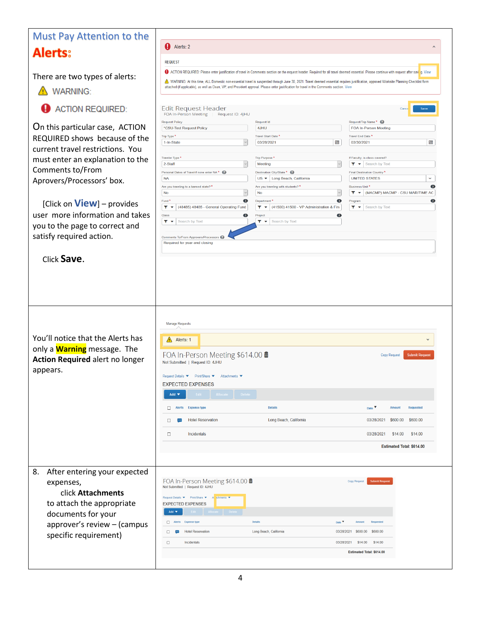| <b>Must Pay Attention to the</b>                                        |                                                                                                                                                                                                                                                                                                                                      |                                                                                                  |                                                                                                                                                                                             |  |  |
|-------------------------------------------------------------------------|--------------------------------------------------------------------------------------------------------------------------------------------------------------------------------------------------------------------------------------------------------------------------------------------------------------------------------------|--------------------------------------------------------------------------------------------------|---------------------------------------------------------------------------------------------------------------------------------------------------------------------------------------------|--|--|
|                                                                         | Alerts: 2                                                                                                                                                                                                                                                                                                                            |                                                                                                  | $\overline{\phantom{a}}$                                                                                                                                                                    |  |  |
| <b>Alerts:</b>                                                          | <b>REQUEST</b>                                                                                                                                                                                                                                                                                                                       |                                                                                                  |                                                                                                                                                                                             |  |  |
|                                                                         |                                                                                                                                                                                                                                                                                                                                      |                                                                                                  | O ACTION REQUIRED: Please enter justification of travel in Comments section on the request header. Required for all travel deemed essential. Please continue with request after saw g. View |  |  |
| There are two types of alerts:                                          | WARNING: At this time, ALL Domestic non-essential travel is suspended through June 30, 2021. Travel deemed essential requires justification, approved Worksite Planning Checklist form<br>attached (if applicable), as well as Dean, VP, and President approval. Please enter justification for travel in the Comments section. View |                                                                                                  |                                                                                                                                                                                             |  |  |
| <b>A</b> WARNING:                                                       |                                                                                                                                                                                                                                                                                                                                      |                                                                                                  |                                                                                                                                                                                             |  |  |
| <b>ACTION REQUIRED:</b>                                                 | <b>Edit Request Header</b><br>FOA In-Person Meeting<br>Request ID: 4JHU                                                                                                                                                                                                                                                              |                                                                                                  | Save                                                                                                                                                                                        |  |  |
| On this particular case, ACTION                                         | <b>Request Policy</b><br>*CSU-Test Request Policy                                                                                                                                                                                                                                                                                    | <b>Request Id</b><br>4JHU                                                                        | Request/Trip Name*<br><b>FOA In-Person Meeting</b>                                                                                                                                          |  |  |
| REQUIRED shows because of the                                           | Trip Type *                                                                                                                                                                                                                                                                                                                          | Travel Start Date <sup>*</sup>                                                                   | Travel End Date <sup>*</sup>                                                                                                                                                                |  |  |
| current travel restrictions. You                                        | 1-In-State                                                                                                                                                                                                                                                                                                                           | <b>um</b><br>03/28/2021                                                                          | 圃<br>03/30/2021                                                                                                                                                                             |  |  |
| must enter an explanation to the                                        | Traveler Type *                                                                                                                                                                                                                                                                                                                      | Trip Purpose*                                                                                    | If Faculty, is class covered?                                                                                                                                                               |  |  |
| Comments to/From                                                        | 2-Staff<br>Personal Dates of Travel-If none enter NA <sup>*</sup>                                                                                                                                                                                                                                                                    | Meeting<br>Destination City/State *                                                              | $\blacktriangleright$ $\blacktriangleright$ Search by Text<br>Final Destination Country*                                                                                                    |  |  |
| Aprovers/Processors' box.                                               | <b>NA</b>                                                                                                                                                                                                                                                                                                                            | US ▼ Long Beach, California                                                                      | <b>UNITED STATES</b><br>v                                                                                                                                                                   |  |  |
|                                                                         | Are you traveling to a banned state? *<br>No                                                                                                                                                                                                                                                                                         | Are you traveling with students?*<br>No                                                          | Business Unit <sup>*</sup><br>$\sqrt{2}$<br>$\blacktriangledown \blacktriangledown$ (MACMP) MACMP - CSU MARITIME AC                                                                         |  |  |
| [Click on $View$ ] – provides                                           | Fund <sup>*</sup>                                                                                                                                                                                                                                                                                                                    | $\overline{\mathbf{3}}$<br>Department*                                                           | $\bullet$<br>$\overline{\mathbf{2}}$<br>Program                                                                                                                                             |  |  |
| user more information and takes                                         | (48485) 48485 - General Operating Fund<br>$T - T$<br>Class                                                                                                                                                                                                                                                                           | $\blacktriangledown \blacktriangledown$ (41500) 41500 - VP Administration & Fine<br>2<br>Project | $\blacktriangleright$ $\blacktriangleright$ Search by Text<br>$\bullet$                                                                                                                     |  |  |
| you to the page to correct and                                          | $\mathbf{T}$ $\bullet$ Search by Text                                                                                                                                                                                                                                                                                                | $\blacktriangleright$ $\blacktriangleright$ Search by Text                                       |                                                                                                                                                                                             |  |  |
| satisfy required action.                                                | Comments To/From Approvers/Processors                                                                                                                                                                                                                                                                                                |                                                                                                  |                                                                                                                                                                                             |  |  |
|                                                                         | Required for year-end closing                                                                                                                                                                                                                                                                                                        |                                                                                                  |                                                                                                                                                                                             |  |  |
| Click Save.                                                             |                                                                                                                                                                                                                                                                                                                                      |                                                                                                  |                                                                                                                                                                                             |  |  |
|                                                                         |                                                                                                                                                                                                                                                                                                                                      |                                                                                                  |                                                                                                                                                                                             |  |  |
| You'll notice that the Alerts has<br>only a <b>Warning</b> message. The | Manage Requests<br>$\bigwedge$ Alerts: 1                                                                                                                                                                                                                                                                                             |                                                                                                  |                                                                                                                                                                                             |  |  |
| <b>Action Required alert no longer</b><br>appears.                      | FOA In-Person Meeting \$614.00 m<br><b>Copy Request</b><br><b>Submit Request</b><br>Not Submitted   Request ID: 4JHU<br>Request Details ▼<br>Print/Share<br>Attachments ▼                                                                                                                                                            |                                                                                                  |                                                                                                                                                                                             |  |  |
|                                                                         | <b>EXPECTED EXPENSES</b>                                                                                                                                                                                                                                                                                                             |                                                                                                  |                                                                                                                                                                                             |  |  |
|                                                                         | Edit Allocate Delete<br>Add $\blacktriangledown$                                                                                                                                                                                                                                                                                     |                                                                                                  |                                                                                                                                                                                             |  |  |
|                                                                         | Alerts Expense type<br>0                                                                                                                                                                                                                                                                                                             | <b>Details</b>                                                                                   | <b>Requested</b><br>Date V<br><b>Amount</b>                                                                                                                                                 |  |  |
|                                                                         | <b>Hotel Reservation</b><br>□<br>$\overline{\phantom{a}}$                                                                                                                                                                                                                                                                            | Long Beach, California                                                                           | \$600.00<br>03/28/2021<br>\$600.00                                                                                                                                                          |  |  |
|                                                                         | Incidentals<br>$\Box$                                                                                                                                                                                                                                                                                                                |                                                                                                  | 03/28/2021<br>\$14.00<br>\$14.00                                                                                                                                                            |  |  |
|                                                                         |                                                                                                                                                                                                                                                                                                                                      |                                                                                                  | Estimated Total: \$614.00                                                                                                                                                                   |  |  |
|                                                                         |                                                                                                                                                                                                                                                                                                                                      |                                                                                                  |                                                                                                                                                                                             |  |  |
|                                                                         |                                                                                                                                                                                                                                                                                                                                      |                                                                                                  |                                                                                                                                                                                             |  |  |
| After entering your expected<br>8.                                      |                                                                                                                                                                                                                                                                                                                                      |                                                                                                  |                                                                                                                                                                                             |  |  |
| expenses,                                                               | FOA In-Person Meeting \$614.00 ■<br>Not Submitted   Request ID: 4JHU                                                                                                                                                                                                                                                                 |                                                                                                  | Copy Request Submit Reque                                                                                                                                                                   |  |  |
| click Attachments                                                       | Request Details ▼ Print/Share ▼<br>A schments                                                                                                                                                                                                                                                                                        |                                                                                                  |                                                                                                                                                                                             |  |  |
| to attach the appropriate                                               | <b>EXPECTED EXPENSES</b><br>Allocate De<br>Add $\blacktriangledown$                                                                                                                                                                                                                                                                  |                                                                                                  |                                                                                                                                                                                             |  |  |
| documents for your                                                      | Alerts Expense type                                                                                                                                                                                                                                                                                                                  | Details                                                                                          | Date V<br>Requeste                                                                                                                                                                          |  |  |
| approver's review - (campus<br>specific requirement)                    | <b>Hotel Reservation</b><br>$\Box$<br>$\cdots$                                                                                                                                                                                                                                                                                       | Long Beach, California                                                                           | 03/28/2021 \$600.00 \$600.00                                                                                                                                                                |  |  |
|                                                                         |                                                                                                                                                                                                                                                                                                                                      |                                                                                                  |                                                                                                                                                                                             |  |  |
|                                                                         | $\Box$<br>Incidentals                                                                                                                                                                                                                                                                                                                |                                                                                                  | 03/28/2021 \$14.00<br>\$14.00                                                                                                                                                               |  |  |
|                                                                         |                                                                                                                                                                                                                                                                                                                                      |                                                                                                  | <b>Estimated Total: \$614.00</b>                                                                                                                                                            |  |  |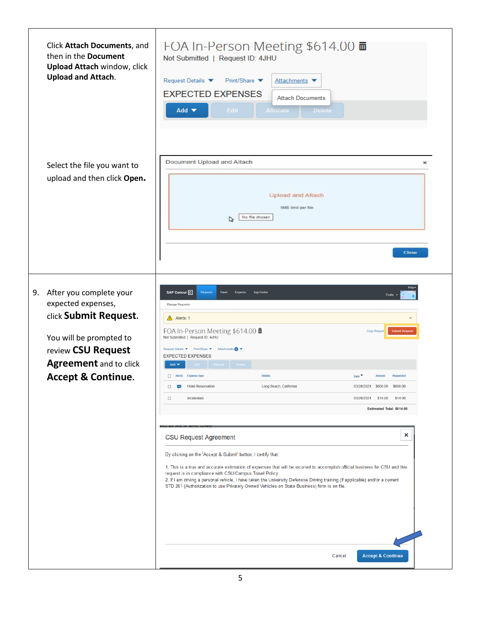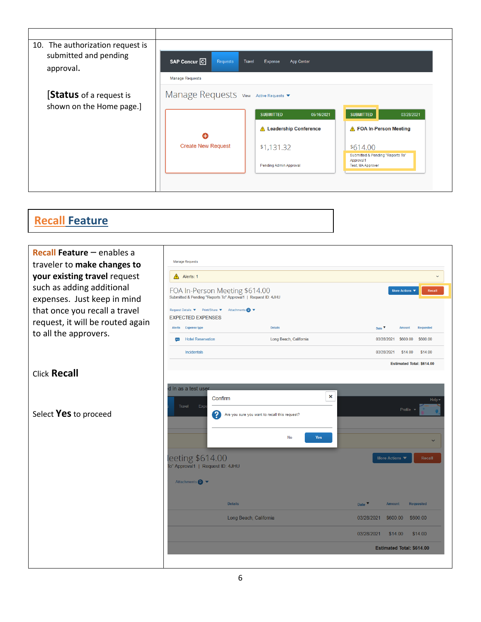| 10. The authorization request is<br>submitted and pending<br>approval. | SAP Concur <sup>C</sup><br><b>Requests</b>                                                                                         | <b>Travel</b><br>Expense<br><b>App Center</b> |                                              |  |
|------------------------------------------------------------------------|------------------------------------------------------------------------------------------------------------------------------------|-----------------------------------------------|----------------------------------------------|--|
| [Status of a request is<br>shown on the Home page.]                    | <b>Manage Requests</b><br>Manage Requests View Active Requests<br>05/16/2021<br><b>SUBMITTED</b><br><b>SUBMITTED</b><br>03/28/2021 |                                               |                                              |  |
|                                                                        | A                                                                                                                                  | <b>Leadership Conference</b><br>$\Lambda$     | ▲ FOA In-Person Meeting                      |  |
|                                                                        | <b>Create New Request</b>                                                                                                          | \$1,131.32                                    | \$614.00<br>Submitted & Pending "Reports To" |  |
|                                                                        |                                                                                                                                    | Pending Admin Approval                        | Approval1<br>Test, MA Approver               |  |
|                                                                        |                                                                                                                                    |                                               |                                              |  |

## **Recall Feature**

| <b>Recall Feature - enables a</b> | <b>Manage Requests</b>                                                                |                                                                   |  |  |
|-----------------------------------|---------------------------------------------------------------------------------------|-------------------------------------------------------------------|--|--|
| traveler to make changes to       |                                                                                       |                                                                   |  |  |
| your existing travel request      | $\bigwedge$ Alerts: 1                                                                 | $\checkmark$                                                      |  |  |
| such as adding additional         | FOA In-Person Meeting \$614.00                                                        | More Actions ▼<br>Recall                                          |  |  |
| expenses. Just keep in mind       | Submitted & Pending "Reports To" Approval1   Request ID: 4JHU                         |                                                                   |  |  |
| that once you recall a travel     | Request Details ▼ Print/Share ▼<br>Attachments <b>D</b> ▼<br><b>EXPECTED EXPENSES</b> |                                                                   |  |  |
| request, it will be routed again  | <b>Expense type</b><br><b>Details</b><br>Alerts                                       | Requested<br>Date $\blacktriangledown$<br><b>Amount</b>           |  |  |
| to all the approvers.             | <b>Hotel Reservation</b><br>Long Beach, California<br>$\cdots$                        | \$600.00<br>03/28/2021<br>\$600.00                                |  |  |
|                                   | <b>Incidentals</b>                                                                    | 03/28/2021<br>\$14.00<br>\$14.00                                  |  |  |
|                                   |                                                                                       | <b>Estimated Total: \$614.00</b>                                  |  |  |
| <b>Click Recall</b>               |                                                                                       |                                                                   |  |  |
|                                   | d in as a test user                                                                   |                                                                   |  |  |
|                                   | ×<br>Confirm                                                                          | Help -                                                            |  |  |
|                                   | Exp<br>Travel                                                                         | Profile v                                                         |  |  |
| Select Yes to proceed             | ?<br>Are you sure you want to recall this request?                                    |                                                                   |  |  |
|                                   |                                                                                       |                                                                   |  |  |
|                                   | <b>No</b><br><b>Yes</b>                                                               |                                                                   |  |  |
|                                   |                                                                                       |                                                                   |  |  |
|                                   | leeting \$614.00<br>To" Approval1   Request ID: 4JHU                                  | More Actions<br>Recall                                            |  |  |
|                                   |                                                                                       |                                                                   |  |  |
|                                   | Attachments <b>B</b>                                                                  |                                                                   |  |  |
|                                   | <b>Details</b>                                                                        |                                                                   |  |  |
|                                   |                                                                                       | <b>Requested</b><br>Date $\overline{\mathbf{v}}$<br><b>Amount</b> |  |  |
|                                   | Long Beach, California                                                                | \$600.00<br>\$600.00<br>03/28/2021                                |  |  |
|                                   |                                                                                       | 03/28/2021<br>\$14.00<br>\$14.00                                  |  |  |
|                                   |                                                                                       | <b>Estimated Total: \$614.00</b>                                  |  |  |
|                                   |                                                                                       |                                                                   |  |  |
|                                   |                                                                                       |                                                                   |  |  |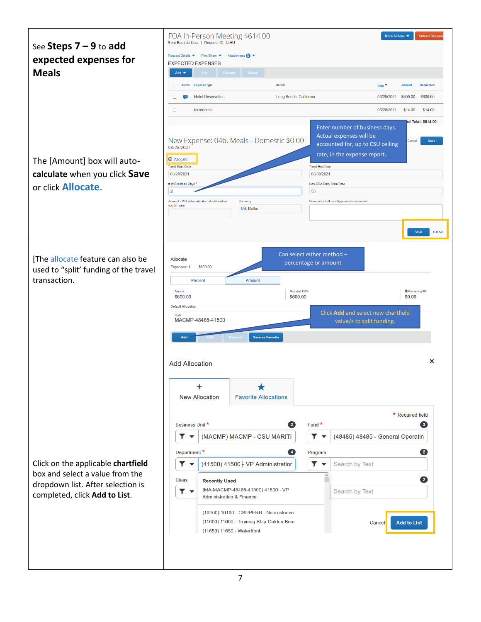